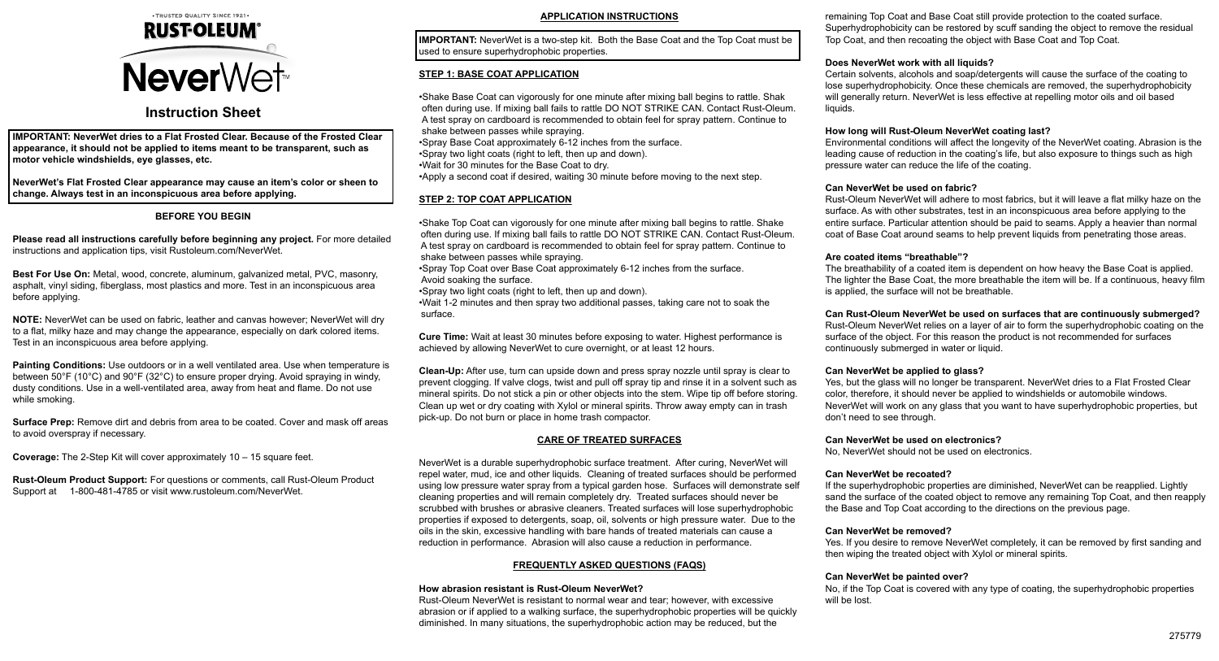

# **Instruction Sheet**

**IMPORTANT: NeverWet dries to a Flat Frosted Clear. Because of the Frosted Clear appearance, it should not be applied to items meant to be transparent, such as motor vehicle windshields, eye glasses, etc.**

**NeverWet's Flat Frosted Clear appearance may cause an item's color or sheen to change. Always test in an inconspicuous area before applying.**

# **BEFORE YOU BEGIN**

**Please read all instructions carefully before beginning any project.** For more detailed instructions and application tips, visit Rustoleum.com/NeverWet.

**Best For Use On:** Metal, wood, concrete, aluminum, galvanized metal, PVC, masonry, asphalt, vinyl siding, fiberglass, most plastics and more. Test in an inconspicuous area before applying.

**NOTE:** NeverWet can be used on fabric, leather and canvas however; NeverWet will dry to a flat, milky haze and may change the appearance, especially on dark colored items. Test in an inconspicuous area before applying.

**Painting Conditions:** Use outdoors or in a well ventilated area. Use when temperature is between 50°F (10°C) and 90°F (32°C) to ensure proper drying. Avoid spraying in windy, dusty conditions. Use in a well-ventilated area, away from heat and flame. Do not use while smoking.

**Surface Prep:** Remove dirt and debris from area to be coated. Cover and mask off areas to avoid overspray if necessary.

**Coverage:** The 2-Step Kit will cover approximately 10 – 15 square feet.

**Rust-Oleum Product Support:** For questions or comments, call Rust-Oleum Product Support at 1-800-481-4785 or visit www.rustoleum.com/NeverWet.

## **APPLICATION INSTRUCTIONS**

**IMPORTANT:** NeverWet is a two-step kit. Both the Base Coat and the Top Coat must be used to ensure superhydrophobic properties.

# **STEP 1: BASE COAT APPLICATION**

•Shake Base Coat can vigorously for one minute after mixing ball begins to rattle. Shak often during use. If mixing ball fails to rattle DO NOT STRIKE CAN. Contact Rust-Oleum. A test spray on cardboard is recommended to obtain feel for spray pattern. Continue to shake between passes while spraying. •Spray Base Coat approximately 6-12 inches from the surface. •Spray two light coats (right to left, then up and down). •Wait for 30 minutes for the Base Coat to dry. •Apply a second coat if desired, waiting 30 minute before moving to the next step.

# **STEP 2: TOP COAT APPLICATION**

•Shake Top Coat can vigorously for one minute after mixing ball begins to rattle. Shake often during use. If mixing ball fails to rattle DO NOT STRIKE CAN. Contact Rust-Oleum. A test spray on cardboard is recommended to obtain feel for spray pattern. Continue to shake between passes while spraying.

•Spray Top Coat over Base Coat approximately 6-12 inches from the surface. Avoid soaking the surface.

•Spray two light coats (right to left, then up and down).

•Wait 1-2 minutes and then spray two additional passes, taking care not to soak the surface.

**Cure Time:** Wait at least 30 minutes before exposing to water. Highest performance is achieved by allowing NeverWet to cure overnight, or at least 12 hours.

**Clean-Up:** After use, turn can upside down and press spray nozzle until spray is clear to prevent clogging. If valve clogs, twist and pull off spray tip and rinse it in a solvent such as mineral spirits. Do not stick a pin or other objects into the stem. Wipe tip off before storing. Clean up wet or dry coating with Xylol or mineral spirits. Throw away empty can in trash pick-up. Do not burn or place in home trash compactor.

## **CARE OF TREATED SURFACES**

NeverWet is a durable superhydrophobic surface treatment. After curing, NeverWet will repel water, mud, ice and other liquids. Cleaning of treated surfaces should be performed using low pressure water spray from a typical garden hose. Surfaces will demonstrate self cleaning properties and will remain completely dry. Treated surfaces should never be scrubbed with brushes or abrasive cleaners. Treated surfaces will lose superhydrophobic properties if exposed to detergents, soap, oil, solvents or high pressure water. Due to the oils in the skin, excessive handling with bare hands of treated materials can cause a reduction in performance. Abrasion will also cause a reduction in performance.

# **FREQUENTLY ASKED QUESTIONS (FAQS)**

## **How abrasion resistant is Rust-Oleum NeverWet?**

Rust-Oleum NeverWet is resistant to normal wear and tear; however, with excessive abrasion or if applied to a walking surface, the superhydrophobic properties will be quickly diminished. In many situations, the superhydrophobic action may be reduced, but the

remaining Top Coat and Base Coat still provide protection to the coated surface. Superhydrophobicity can be restored by scuff sanding the object to remove the residual Top Coat, and then recoating the object with Base Coat and Top Coat.

# **Does NeverWet work with all liquids?**

Certain solvents, alcohols and soap/detergents will cause the surface of the coating to lose superhydrophobicity. Once these chemicals are removed, the superhydrophobicity will generally return. NeverWet is less effective at repelling motor oils and oil based liquids.

## **How long will Rust-Oleum NeverWet coating last?**

Environmental conditions will affect the longevity of the NeverWet coating. Abrasion is the leading cause of reduction in the coating's life, but also exposure to things such as high pressure water can reduce the life of the coating.

## **Can NeverWet be used on fabric?**

Rust-Oleum NeverWet will adhere to most fabrics, but it will leave a flat milky haze on the surface. As with other substrates, test in an inconspicuous area before applying to the entire surface. Particular attention should be paid to seams. Apply a heavier than normal coat of Base Coat around seams to help prevent liquids from penetrating those areas.

## **Are coated items "breathable"?**

The breathability of a coated item is dependent on how heavy the Base Coat is applied. The lighter the Base Coat, the more breathable the item will be. If a continuous, heavy film is applied, the surface will not be breathable.

# **Can Rust-Oleum NeverWet be used on surfaces that are continuously submerged?**

Rust-Oleum NeverWet relies on a layer of air to form the superhydrophobic coating on the surface of the object. For this reason the product is not recommended for surfaces continuously submerged in water or liquid.

## **Can NeverWet be applied to glass?**

Yes, but the glass will no longer be transparent. NeverWet dries to a Flat Frosted Clear color, therefore, it should never be applied to windshields or automobile windows. NeverWet will work on any glass that you want to have superhydrophobic properties, but don't need to see through.

## **Can NeverWet be used on electronics?**

No, NeverWet should not be used on electronics.

# **Can NeverWet be recoated?**

If the superhydrophobic properties are diminished, NeverWet can be reapplied. Lightly sand the surface of the coated object to remove any remaining Top Coat, and then reapply the Base and Top Coat according to the directions on the previous page.

## **Can NeverWet be removed?**

Yes. If you desire to remove NeverWet completely, it can be removed by first sanding and then wiping the treated object with Xylol or mineral spirits.

# **Can NeverWet be painted over?**

No, if the Top Coat is covered with any type of coating, the superhydrophobic properties will be lost.